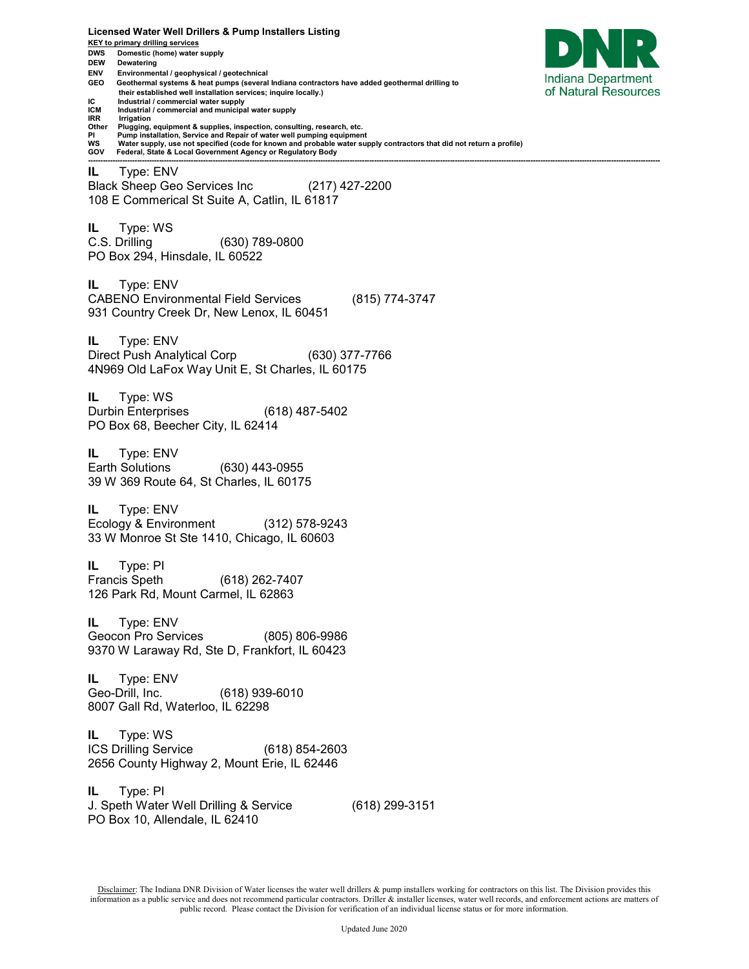**KEY to primary drilling services DWS Domestic (home) water supply DEW Dewatering ENV Environmental / geophysical / geotechnical**  Indiana Department **GEO Geothermal systems & heat pumps (several Indiana contractors have added geothermal drilling to**  of Natural Resources  **their established well installation services; inquire locally.) IC** Industrial / commercial water supply<br>**ICM** Industrial / commercial and municipal **ICM Industrial / commercial and municipal water supply IRR Irrigation**<br>Other **Plugging Other Plugging, equipment & supplies, inspection, consulting, research, etc. PI Pump installation, Service and Repair of water well pumping equipment WS Water supply, use not specified (code for known and probable water supply contractors that did not return a profile) GOV Federal, State & Local Government Agency or Regulatory Body ------------------------------------------------------------------------------------------------------------------------------------------------------------------------------------------------------------------------------------------ IL** Type: ENV Black Sheep Geo Services Inc (217) 427-2200 108 E Commerical St Suite A, Catlin, IL 61817 **IL** Type: WS C.S. Drilling (630) 789-0800 PO Box 294, Hinsdale, IL 60522 **IL** Type: ENV CABENO Environmental Field Services (815) 774-3747 931 Country Creek Dr, New Lenox, IL 60451 **IL** Type: ENV Direct Push Analytical Corp (630) 377-7766 4N969 Old LaFox Way Unit E, St Charles, IL 60175 **IL** Type: WS Durbin Enterprises (618) 487-5402 PO Box 68, Beecher City, IL 62414 **IL** Type: ENV Earth Solutions (630) 443-0955 39 W 369 Route 64, St Charles, IL 60175 **IL** Type: ENV Ecology & Environment (312) 578-9243 33 W Monroe St Ste 1410, Chicago, IL 60603 **IL** Type: PI Francis Speth (618) 262-7407 126 Park Rd, Mount Carmel, IL 62863 **IL** Type: ENV Geocon Pro Services (805) 806-9986 9370 W Laraway Rd, Ste D, Frankfort, IL 60423 **IL** Type: ENV Geo-Drill, Inc. (618) 939-6010 8007 Gall Rd, Waterloo, IL 62298 **IL** Type: WS ICS Drilling Service (618) 854-2603 2656 County Highway 2, Mount Erie, IL 62446 **IL** Type: PI J. Speth Water Well Drilling & Service (618) 299-3151 PO Box 10, Allendale, IL 62410

**Licensed Water Well Drillers & Pump Installers Listing**

Disclaimer: The Indiana DNR Division of Water licenses the water well drillers & pump installers working for contractors on this list. The Division provides this information as a public service and does not recommend particular contractors. Driller & installer licenses, water well records, and enforcement actions are matters of public record. Please contact the Division for verification of an individual license status or for more information.